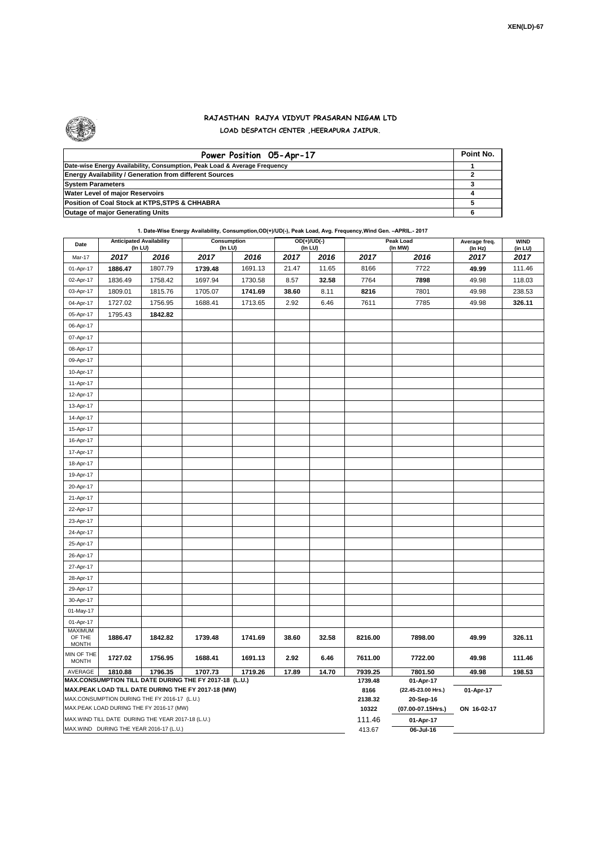

## **RAJASTHAN RAJYA VIDYUT PRASARAN NIGAM LTD LOAD DESPATCH CENTER ,HEERAPURA JAIPUR.**

| Power Position 05-Apr-17                                                  | Point No. |
|---------------------------------------------------------------------------|-----------|
| Date-wise Energy Availability, Consumption, Peak Load & Average Frequency |           |
| <b>Energy Availability / Generation from different Sources</b>            |           |
| <b>System Parameters</b>                                                  |           |
| <b>Water Level of major Reservoirs</b>                                    |           |
| Position of Coal Stock at KTPS, STPS & CHHABRA                            |           |
| <b>Outage of major Generating Units</b>                                   |           |

|                                                                                                              | <b>Anticipated Availability</b>                   |         | 1. Date-Wise Energy Availability, Consumption, OD(+)/UD(-), Peak Load, Avg. Frequency, Wind Gen. - APRIL.- 2017<br>Consumption |         | $OD(+)/UD(-)$ |         | Peak Load       | Average freq.                   | <b>WIND</b> |         |  |  |
|--------------------------------------------------------------------------------------------------------------|---------------------------------------------------|---------|--------------------------------------------------------------------------------------------------------------------------------|---------|---------------|---------|-----------------|---------------------------------|-------------|---------|--|--|
| Date                                                                                                         | (In LU)                                           |         | (In LU)                                                                                                                        |         |               | (In LU) |                 | (In MW)                         | (In Hz)     | (in LU) |  |  |
| Mar-17                                                                                                       | 2017                                              | 2016    | 2017                                                                                                                           | 2016    | 2017          | 2016    | 2017            | 2016                            | 2017        | 2017    |  |  |
| 01-Apr-17                                                                                                    | 1886.47                                           | 1807.79 | 1739.48                                                                                                                        | 1691.13 | 21.47         | 11.65   | 8166            | 7722                            | 49.99       | 111.46  |  |  |
| 02-Apr-17                                                                                                    | 1836.49                                           | 1758.42 | 1697.94                                                                                                                        | 1730.58 | 8.57          | 32.58   | 7764            | 7898                            | 49.98       | 118.03  |  |  |
| 03-Apr-17                                                                                                    | 1809.01                                           | 1815.76 | 1705.07                                                                                                                        | 1741.69 | 38.60         | 8.11    | 8216            | 7801                            | 49.98       | 238.53  |  |  |
| 04-Apr-17                                                                                                    | 1727.02                                           | 1756.95 | 1688.41                                                                                                                        | 1713.65 | 2.92          | 6.46    | 7611            | 7785                            | 49.98       | 326.11  |  |  |
| 05-Apr-17                                                                                                    | 1795.43                                           | 1842.82 |                                                                                                                                |         |               |         |                 |                                 |             |         |  |  |
| 06-Apr-17                                                                                                    |                                                   |         |                                                                                                                                |         |               |         |                 |                                 |             |         |  |  |
| 07-Apr-17                                                                                                    |                                                   |         |                                                                                                                                |         |               |         |                 |                                 |             |         |  |  |
| 08-Apr-17                                                                                                    |                                                   |         |                                                                                                                                |         |               |         |                 |                                 |             |         |  |  |
| 09-Apr-17                                                                                                    |                                                   |         |                                                                                                                                |         |               |         |                 |                                 |             |         |  |  |
| 10-Apr-17                                                                                                    |                                                   |         |                                                                                                                                |         |               |         |                 |                                 |             |         |  |  |
| 11-Apr-17                                                                                                    |                                                   |         |                                                                                                                                |         |               |         |                 |                                 |             |         |  |  |
| 12-Apr-17                                                                                                    |                                                   |         |                                                                                                                                |         |               |         |                 |                                 |             |         |  |  |
| 13-Apr-17                                                                                                    |                                                   |         |                                                                                                                                |         |               |         |                 |                                 |             |         |  |  |
| 14-Apr-17                                                                                                    |                                                   |         |                                                                                                                                |         |               |         |                 |                                 |             |         |  |  |
| 15-Apr-17                                                                                                    |                                                   |         |                                                                                                                                |         |               |         |                 |                                 |             |         |  |  |
| 16-Apr-17                                                                                                    |                                                   |         |                                                                                                                                |         |               |         |                 |                                 |             |         |  |  |
| 17-Apr-17                                                                                                    |                                                   |         |                                                                                                                                |         |               |         |                 |                                 |             |         |  |  |
| 18-Apr-17                                                                                                    |                                                   |         |                                                                                                                                |         |               |         |                 |                                 |             |         |  |  |
| 19-Apr-17                                                                                                    |                                                   |         |                                                                                                                                |         |               |         |                 |                                 |             |         |  |  |
| 20-Apr-17                                                                                                    |                                                   |         |                                                                                                                                |         |               |         |                 |                                 |             |         |  |  |
| 21-Apr-17                                                                                                    |                                                   |         |                                                                                                                                |         |               |         |                 |                                 |             |         |  |  |
| 22-Apr-17                                                                                                    |                                                   |         |                                                                                                                                |         |               |         |                 |                                 |             |         |  |  |
| 23-Apr-17                                                                                                    |                                                   |         |                                                                                                                                |         |               |         |                 |                                 |             |         |  |  |
| 24-Apr-17                                                                                                    |                                                   |         |                                                                                                                                |         |               |         |                 |                                 |             |         |  |  |
| 25-Apr-17                                                                                                    |                                                   |         |                                                                                                                                |         |               |         |                 |                                 |             |         |  |  |
| 26-Apr-17                                                                                                    |                                                   |         |                                                                                                                                |         |               |         |                 |                                 |             |         |  |  |
| 27-Apr-17                                                                                                    |                                                   |         |                                                                                                                                |         |               |         |                 |                                 |             |         |  |  |
| 28-Apr-17                                                                                                    |                                                   |         |                                                                                                                                |         |               |         |                 |                                 |             |         |  |  |
| 29-Apr-17                                                                                                    |                                                   |         |                                                                                                                                |         |               |         |                 |                                 |             |         |  |  |
| 30-Apr-17                                                                                                    |                                                   |         |                                                                                                                                |         |               |         |                 |                                 |             |         |  |  |
| 01-May-17                                                                                                    |                                                   |         |                                                                                                                                |         |               |         |                 |                                 |             |         |  |  |
| 01-Apr-17                                                                                                    |                                                   |         |                                                                                                                                |         |               |         |                 |                                 |             |         |  |  |
| <b>MAXIMUM</b>                                                                                               |                                                   |         |                                                                                                                                |         |               |         |                 |                                 |             |         |  |  |
| OF THE<br><b>MONTH</b>                                                                                       | 1886.47                                           | 1842.82 | 1739.48                                                                                                                        | 1741.69 | 38.60         | 32.58   | 8216.00         | 7898.00                         | 49.99       | 326.11  |  |  |
| MIN OF THE                                                                                                   |                                                   |         |                                                                                                                                |         |               |         |                 |                                 |             |         |  |  |
| <b>MONTH</b>                                                                                                 | 1727.02                                           | 1756.95 | 1688.41                                                                                                                        | 1691.13 | 2.92          | 6.46    | 7611.00         | 7722.00                         | 49.98       | 111.46  |  |  |
| 1810.88<br>1796.35<br>1707.73<br>1719.26<br>17.89<br>14.70<br>AVERAGE                                        |                                                   |         |                                                                                                                                |         |               |         | 7939.25         | 7801.50                         | 49.98       | 198.53  |  |  |
| MAX.CONSUMPTION TILL DATE DURING THE FY 2017-18 (L.U.)<br>MAX.PEAK LOAD TILL DATE DURING THE FY 2017-18 (MW) |                                                   |         |                                                                                                                                |         |               |         | 1739.48<br>8166 | 01-Apr-17<br>(22.45-23.00 Hrs.) | 01-Apr-17   |         |  |  |
|                                                                                                              | MAX.CONSUMPTION DURING THE FY 2016-17 (L.U.)      |         |                                                                                                                                |         |               |         | 2138.32         | 20-Sep-16                       |             |         |  |  |
|                                                                                                              | MAX.PEAK LOAD DURING THE FY 2016-17 (MW)          |         |                                                                                                                                |         |               |         | 10322           | (07.00-07.15Hrs.)               | ON 16-02-17 |         |  |  |
|                                                                                                              | MAX.WIND TILL DATE DURING THE YEAR 2017-18 (L.U.) |         |                                                                                                                                |         |               |         | 111.46          | 01-Apr-17                       |             |         |  |  |
| MAX.WIND DURING THE YEAR 2016-17 (L.U.)                                                                      |                                                   |         |                                                                                                                                |         |               |         |                 | 06-Jul-16                       |             |         |  |  |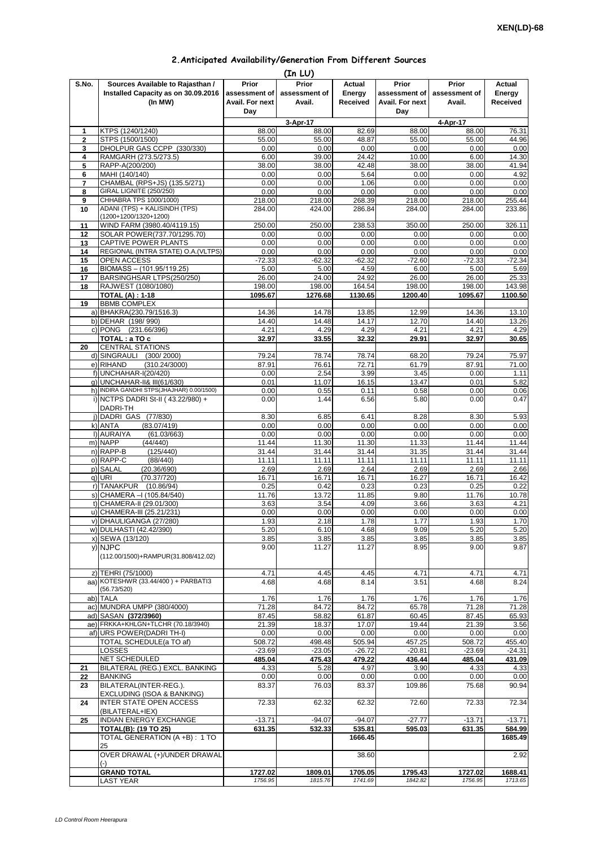## **2.Anticipated Availability/Generation From Different Sources**

| (In LU)      |                                                                                    |                                           |                                  |                                     |                                           |                                  |                                     |  |  |  |
|--------------|------------------------------------------------------------------------------------|-------------------------------------------|----------------------------------|-------------------------------------|-------------------------------------------|----------------------------------|-------------------------------------|--|--|--|
| S.No.        | Sources Available to Rajasthan /<br>Installed Capacity as on 30.09.2016<br>(In MW) | Prior<br>assessment of<br>Avail. For next | Prior<br>assessment of<br>Avail. | <b>Actual</b><br>Energy<br>Received | Prior<br>assessment of<br>Avail. For next | Prior<br>assessment of<br>Avail. | Actual<br>Energy<br><b>Received</b> |  |  |  |
|              |                                                                                    | Day                                       |                                  |                                     | Day                                       |                                  |                                     |  |  |  |
| 1            | KTPS (1240/1240)                                                                   | 88.00                                     | 3-Apr-17<br>88.00                | 82.69                               | 88.00                                     | 4-Apr-17<br>88.00                | 76.31                               |  |  |  |
| $\mathbf{2}$ | STPS (1500/1500)                                                                   | 55.00                                     | 55.00                            | 48.87                               | 55.00                                     | 55.00                            | 44.96                               |  |  |  |
| 3            | DHOLPUR GAS CCPP (330/330)                                                         | 0.00                                      | 0.00                             | 0.00                                | 0.00                                      | 0.00                             | 0.00                                |  |  |  |
| 4<br>5       | RAMGARH (273.5/273.5)<br>RAPP-A(200/200)                                           | 6.00<br>38.00                             | 39.00<br>38.00                   | 24.42<br>42.48                      | 10.00<br>38.00                            | 6.00<br>38.00                    | 14.30<br>41.94                      |  |  |  |
| 6            | MAHI (140/140)                                                                     | 0.00                                      | 0.00                             | 5.64                                | 0.00                                      | 0.00                             | 4.92                                |  |  |  |
| 7            | CHAMBAL (RPS+JS) (135.5/271)                                                       | 0.00                                      | 0.00                             | 1.06                                | 0.00                                      | 0.00                             | 0.00                                |  |  |  |
| 8            | GIRAL LIGNITE (250/250)<br>CHHABRA TPS 1000/1000)                                  | 0.00<br>218.00                            | 0.00<br>218.00                   | 0.00<br>268.39                      | 0.00<br>218.00                            | 0.00<br>218.00                   | 0.00                                |  |  |  |
| 9<br>10      | ADANI (TPS) + KALISINDH (TPS)                                                      | 284.00                                    | 424.00                           | 286.84                              | 284.00                                    | 284.00                           | 255.44<br>233.86                    |  |  |  |
|              | (1200+1200/1320+1200)                                                              |                                           |                                  |                                     |                                           |                                  |                                     |  |  |  |
| 11<br>12     | WIND FARM (3980.40/4119.15)<br>SOLAR POWER(737.70/1295.70)                         | 250.00<br>0.00                            | 250.00<br>0.00                   | 238.53<br>0.00                      | 350.00<br>0.00                            | 250.00<br>0.00                   | 326.11<br>0.00                      |  |  |  |
| 13           | CAPTIVE POWER PLANTS                                                               | 0.00                                      | 0.00                             | 0.00                                | 0.00                                      | 0.00                             | 0.00                                |  |  |  |
| 14           | REGIONAL (INTRA STATE) O.A. (VLTPS)                                                | 0.00                                      | 0.00                             | 0.00                                | 0.00                                      | 0.00                             | 0.00                                |  |  |  |
| 15           | OPEN ACCESS                                                                        | $-72.33$                                  | $-62.32$                         | $-62.32$                            | $-72.60$                                  | $-72.33$                         | $-72.34$                            |  |  |  |
| 16<br>17     | BIOMASS - (101.95/119.25)<br>BARSINGHSAR LTPS(250/250)                             | 5.00<br>26.00                             | 5.00<br>24.00                    | 4.59<br>24.92                       | 6.00<br>26.00                             | 5.00<br>26.00                    | 5.69<br>25.33                       |  |  |  |
| 18           | RAJWEST (1080/1080)                                                                | 198.00                                    | 198.00                           | 164.54                              | 198.00                                    | 198.00                           | 143.98                              |  |  |  |
|              | <b>TOTAL (A): 1-18</b>                                                             | 1095.67                                   | 1276.68                          | 1130.65                             | 1200.40                                   | 1095.67                          | 1100.50                             |  |  |  |
| 19           | <b>BBMB COMPLEX</b><br>a) BHAKRA(230.79/1516.3)                                    | 14.36                                     | 14.78                            | 13.85                               | 12.99                                     | 14.36                            | 13.10                               |  |  |  |
|              | b) DEHAR (198/990)                                                                 | 14.40                                     | 14.48                            | 14.17                               | 12.70                                     | 14.40                            | 13.26                               |  |  |  |
|              | c) PONG (231.66/396)                                                               | 4.21                                      | 4.29                             | 4.29                                | 4.21                                      | 4.21                             | 4.29                                |  |  |  |
|              | TOTAL: a TO c<br><b>CENTRAL STATIONS</b>                                           | 32.97                                     | 33.55                            | 32.32                               | 29.91                                     | 32.97                            | 30.65                               |  |  |  |
| 20           | d) SINGRAULI<br>(300/2000)                                                         | 79.24                                     | 78.74                            | 78.74                               | 68.20                                     | 79.24                            | 75.97                               |  |  |  |
|              | e) RIHAND<br>(310.24/3000)                                                         | 87.91                                     | 76.61                            | 72.71                               | 61.79                                     | 87.91                            | 71.00                               |  |  |  |
|              | f) UNCHAHAR-I(20/420)                                                              | 0.00                                      | 2.54                             | 3.99                                | 3.45                                      | 0.00                             | 1.11                                |  |  |  |
|              | g) UNCHAHAR-II& III(61/630)<br>h) INDIRA GANDHI STPS(JHAJHAR) 0.00/1500)           | 0.01<br>0.00                              | 11.07<br>0.55                    | 16.15<br>0.11                       | 13.47<br>0.58                             | 0.01<br>0.00                     | 5.82<br>0.06                        |  |  |  |
|              | i) NCTPS DADRI St-II (43.22/980) +                                                 | 0.00                                      | 1.44                             | 6.56                                | 5.80                                      | 0.00                             | 0.47                                |  |  |  |
|              | DADRI-TH                                                                           |                                           |                                  |                                     |                                           |                                  |                                     |  |  |  |
|              | j) DADRI GAS (77/830)<br>k) ANTA<br>(83.07/419)                                    | 8.30<br>0.00                              | 6.85<br>0.00                     | 6.41<br>0.00                        | 8.28<br>0.00                              | 8.30<br>0.00                     | 5.93<br>0.00                        |  |  |  |
|              | I) AURAIYA<br>(61.03/663)                                                          | 0.00                                      | 0.00                             | 0.00                                | 0.00                                      | 0.00                             | 0.00                                |  |  |  |
|              | m) NAPP<br>(44/440)                                                                | 11.44                                     | 11.30                            | 11.30                               | 11.33                                     | 11.44                            | 11.44                               |  |  |  |
|              | n) RAPP-B<br>(125/440)                                                             | 31.44                                     | 31.44                            | 31.44                               | 31.35                                     | 31.44                            | 31.44                               |  |  |  |
|              | o) RAPP-C<br>(88/440)<br>p) SALAL<br>(20.36/690)                                   | 11.11<br>2.69                             | 11.11<br>2.69                    | 11.11<br>2.64                       | 11.11<br>2.69                             | 11.11<br>2.69                    | 11.11<br>2.66                       |  |  |  |
|              | $q)$ URI<br>(70.37/720)                                                            | 16.71                                     | 16.71                            | 16.71                               | 16.27                                     | 16.71                            | 16.42                               |  |  |  |
|              | r) TANAKPUR<br>(10.86/94)                                                          | 0.25                                      | 0.42                             | 0.23                                | 0.23                                      | 0.25                             | 0.22                                |  |  |  |
|              | s) CHAMERA - (105.84/540)<br>t) CHAMERA-II (29.01/300)                             | 11.76<br>3.63                             | 13.72<br>3.54                    | 11.85<br>4.09                       | 9.80<br>3.66                              | 11.76<br>3.63                    | 10.78<br>4.21                       |  |  |  |
|              | u) CHAMERA-III (25.21/231)                                                         | 0.00                                      | 0.00                             | 0.00                                | 0.00                                      | 0.00                             | 0.00                                |  |  |  |
|              | v) DHAULIGANGA (27/280)                                                            | 1.93                                      | 2.18                             | 1.78                                | 1.77                                      | 1.93                             | 1.70                                |  |  |  |
|              | w) DULHASTI (42.42/390)                                                            | 5.20                                      | 6.10                             | 4.68                                | 9.09                                      | 5.20                             | 5.20                                |  |  |  |
|              | x) SEWA (13/120)<br>y) NJPC                                                        | 3.85<br>9.00                              | 3.85<br>11.27                    | 3.85<br>11.27                       | 3.85<br>8.95                              | 3.85<br>9.00                     | 3.85<br>9.87                        |  |  |  |
|              | (112.00/1500)+RAMPUR(31.808/412.02)                                                |                                           |                                  |                                     |                                           |                                  |                                     |  |  |  |
|              |                                                                                    |                                           |                                  |                                     |                                           |                                  |                                     |  |  |  |
|              | z) TEHRI (75/1000)<br>aa) KOTESHWR (33.44/400) + PARBATI3                          | 4.71<br>4.68                              | 4.45<br>4.68                     | 4.45<br>8.14                        | 4.71<br>3.51                              | 4.71<br>4.68                     | 4.71<br>8.24                        |  |  |  |
|              | (56.73/520)                                                                        |                                           |                                  |                                     |                                           |                                  |                                     |  |  |  |
| ab)          | <b>TALA</b>                                                                        | 1.76                                      | 1.76                             | 1.76                                | 1.76                                      | 1.76                             | 1.76                                |  |  |  |
|              | ac) MUNDRA UMPP (380/4000)<br>ad) SASAN (372/3960)                                 | 71.28<br>87.45                            | 84.72<br>58.82                   | 84.72<br>61.87                      | 65.78<br>60.45                            | 71.28<br>87.45                   | 71.28<br>65.93                      |  |  |  |
|              | ae) FRKKA+KHLGN+TLCHR (70.18/3940)                                                 | 21.39                                     | 18.37                            | 17.07                               | 19.44                                     | 21.39                            | 3.56                                |  |  |  |
|              | af) URS POWER(DADRI TH-I)                                                          | 0.00                                      | 0.00                             | 0.00                                | 0.00                                      | 0.00                             | 0.00                                |  |  |  |
|              | TOTAL SCHEDULE(a TO af)<br>LOSSES                                                  | 508.72<br>$-23.69$                        | 498.48<br>$-23.05$               | 505.94<br>$-26.72$                  | 457.25<br>$-20.81$                        | 508.72<br>$-23.69$               | 455.40<br>$-24.31$                  |  |  |  |
|              | NET SCHEDULED                                                                      | 485.04                                    | 475.43                           | 479.22                              | 436.44                                    | 485.04                           | 431.09                              |  |  |  |
| 21           | BILATERAL (REG.) EXCL. BANKING                                                     | 4.33                                      | 5.28                             | 4.97                                | 3.90                                      | 4.33                             | 4.33                                |  |  |  |
| 22           | <b>BANKING</b>                                                                     | 0.00                                      | 0.00                             | 0.00                                | 0.00                                      | 0.00                             | 0.00                                |  |  |  |
| 23           | BILATERAL(INTER-REG.).<br>EXCLUDING (ISOA & BANKING)                               | 83.37                                     | 76.03                            | 83.37                               | 109.86                                    | 75.68                            | 90.94                               |  |  |  |
| 24           | <b>INTER STATE OPEN ACCESS</b>                                                     | 72.33                                     | 62.32                            | 62.32                               | 72.60                                     | 72.33                            | 72.34                               |  |  |  |
|              | (BILATERAL+IEX)                                                                    |                                           |                                  |                                     |                                           |                                  |                                     |  |  |  |
| 25           | INDIAN ENERGY EXCHANGE<br><b>TOTAL(B): (19 TO 25)</b>                              | $-13.71$<br>631.35                        | $-94.07$<br>532.33               | $-94.07$<br>535.81                  | $-27.77$<br>595.03                        | $-13.71$<br>631.35               | $-13.71$<br>584.99                  |  |  |  |
|              | TOTAL GENERATION (A +B) : 1 TO                                                     |                                           |                                  | 1666.45                             |                                           |                                  | 1685.49                             |  |  |  |
|              | 25                                                                                 |                                           |                                  |                                     |                                           |                                  |                                     |  |  |  |
|              | OVER DRAWAL (+)/UNDER DRAWAL<br>(-)                                                |                                           |                                  | 38.60                               |                                           |                                  | 2.92                                |  |  |  |
|              | <b>GRAND TOTAL</b>                                                                 | 1727.02                                   | 1809.01                          | 1705.05                             | 1795.43                                   | 1727.02                          | 1688.41                             |  |  |  |
|              | <b>LAST YEAR</b>                                                                   | 1756.95                                   | 1815.76                          | 1741.69                             | 1842.82                                   | 1756.95                          | 1713.65                             |  |  |  |